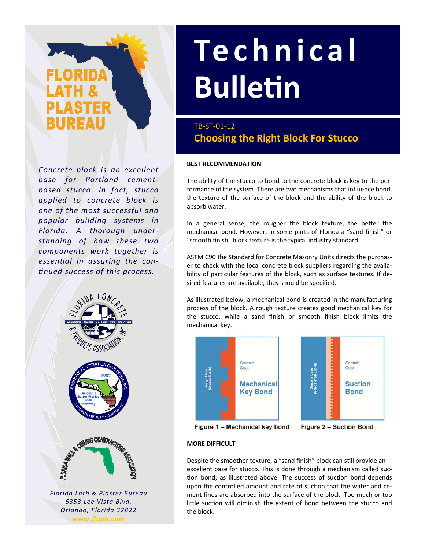*Concrete block is an excellent base for Portland cement‐ based stucco. In fact, stucco applied to concrete block is one of the most successful and popular building systems in Florida. A thorough under‐ standing of how these two components work together is essenƟal in assuring the con‐ Ɵnued success of this process.*



*6353 Lee Vista Blvd. Orlando, Florida 32822 www.flapb.com*

# **Technical BulleƟn**

## TB‐ST‐01‐12 **Choosing the Right Block For Stucco**

#### **BEST RECOMMENDATION**

The ability of the stucco to bond to the concrete block is key to the per‐ formance of the system. There are two mechanisms that influence bond, the texture of the surface of the block and the ability of the block to absorb water.

In a general sense, the rougher the block texture, the better the mechanical bond. However, in some parts of Florida a "sand finish" or "smooth finish" block texture is the typical industry standard.

ASTM C90 the Standard for Concrete Masonry Units directs the purchas‐ er to check with the local concrete block suppliers regarding the availa‐ bility of particular features of the block, such as surface textures. If desired features are available, they should be specified.

As illustrated below, a mechanical bond is created in the manufacturing process of the block. A rough texture creates good mechanical key for the stucco, while a sand finish or smooth finish block limits the mechanical key.





Figure 1 - Mechanical key bond

Figure 2 - Suction Bond

### **MORE DIFFICULT**

Despite the smoother texture, a "sand finish" block can still provide an excellent base for stucco. This is done through a mechanism called suc‐ tion bond, as illustrated above. The success of suction bond depends upon the controlled amount and rate of suction that the water and cement fines are absorbed into the surface of the block. Too much or too little suction will diminish the extent of bond between the stucco and the block.